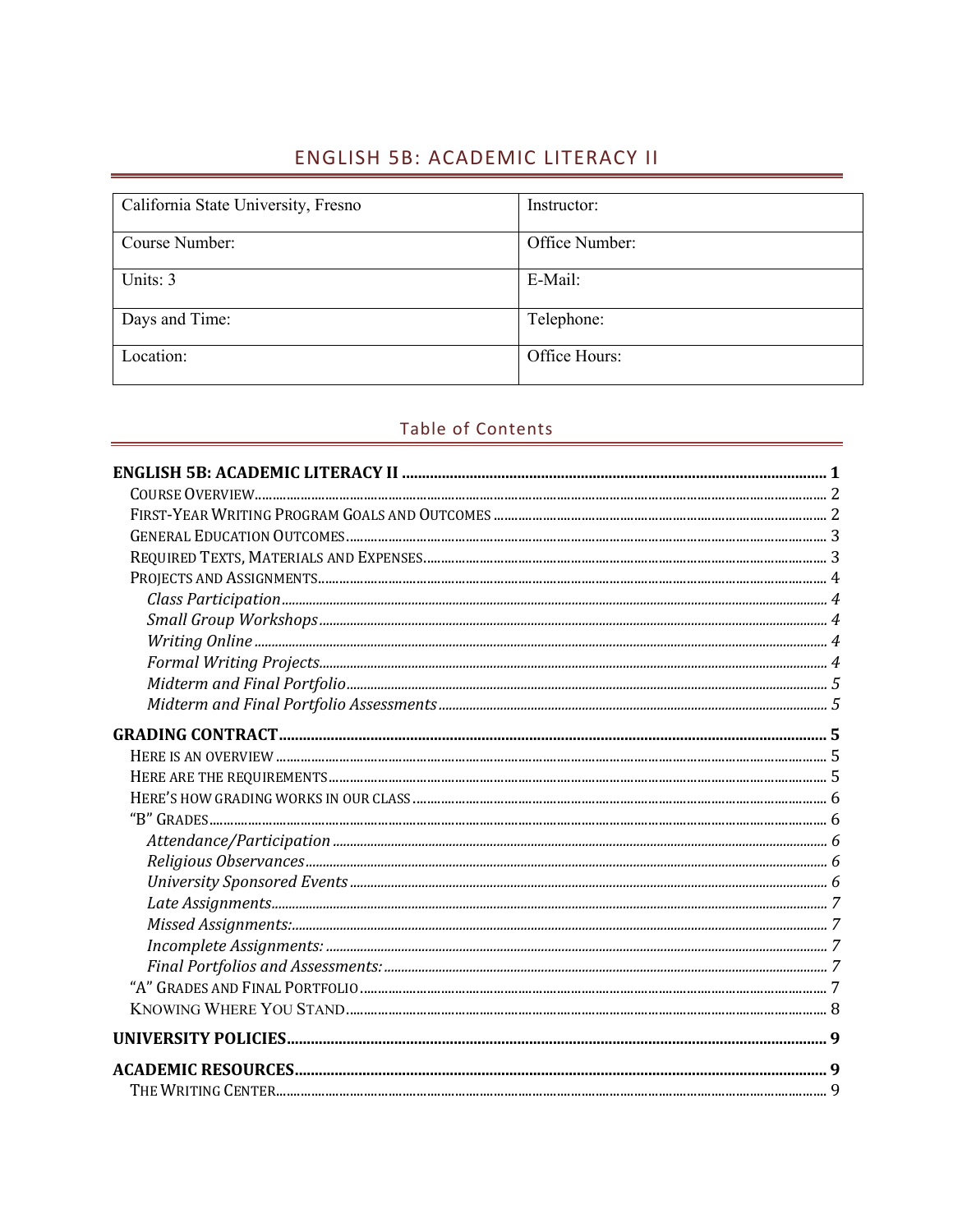# ENGLISH 5B: ACADEMIC LITERACY II

| California State University, Fresno | Instructor:    |
|-------------------------------------|----------------|
| Course Number:                      | Office Number: |
| Units: 3                            | E-Mail:        |
| Days and Time:                      | Telephone:     |
| Location:                           | Office Hours:  |

# Table of Contents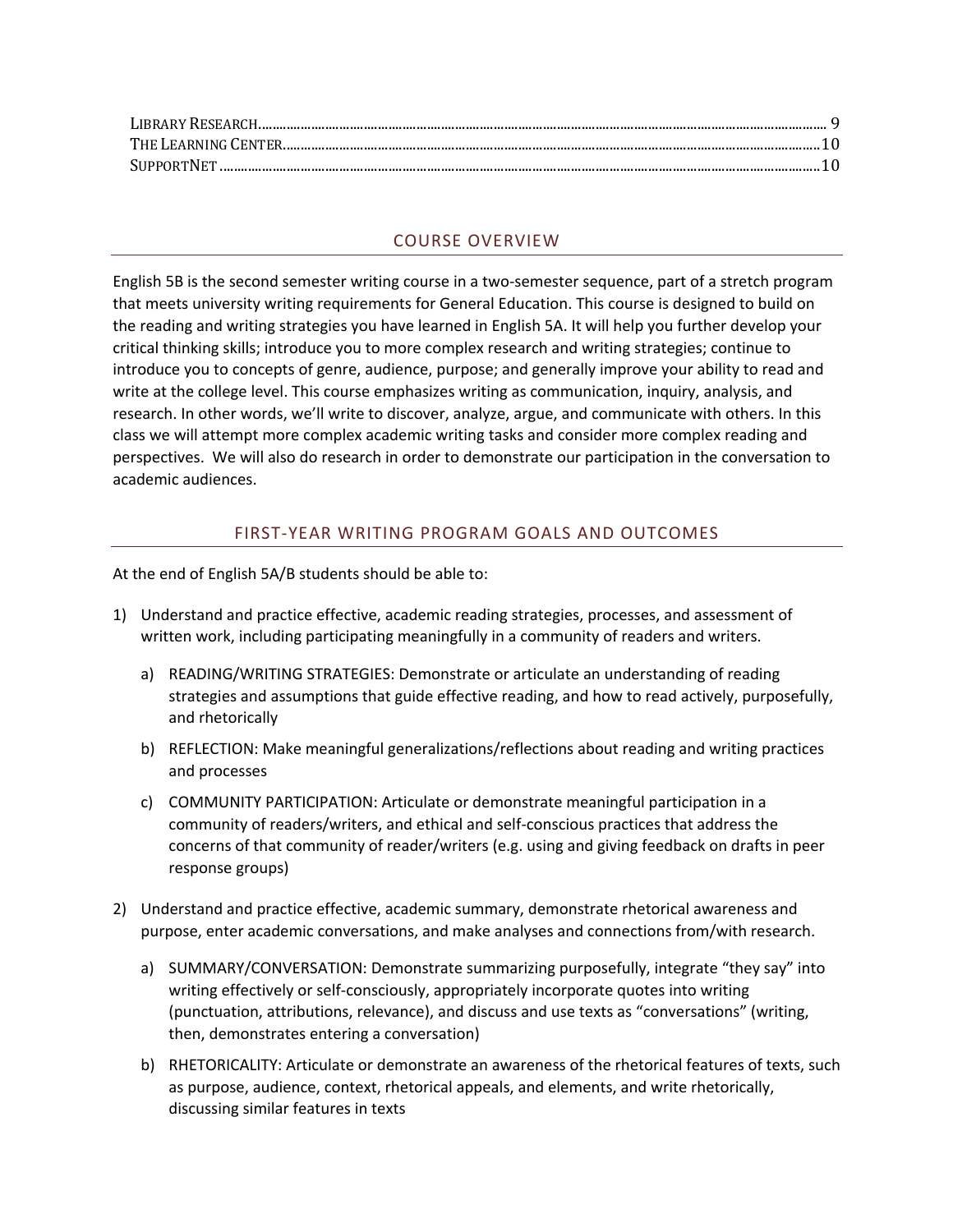#### COURSE OVERVIEW

English 5B is the second semester writing course in a two-semester sequence, part of a stretch program that meets university writing requirements for General Education. This course is designed to build on the reading and writing strategies you have learned in English 5A. It will help you further develop your critical thinking skills; introduce you to more complex research and writing strategies; continue to introduce you to concepts of genre, audience, purpose; and generally improve your ability to read and write at the college level. This course emphasizes writing as communication, inquiry, analysis, and research. In other words, we'll write to discover, analyze, argue, and communicate with others. In this class we will attempt more complex academic writing tasks and consider more complex reading and perspectives. We will also do research in order to demonstrate our participation in the conversation to academic audiences.

#### FIRST-YEAR WRITING PROGRAM GOALS AND OUTCOMES

At the end of English 5A/B students should be able to:

- 1) Understand and practice effective, academic reading strategies, processes, and assessment of written work, including participating meaningfully in a community of readers and writers.
	- a) READING/WRITING STRATEGIES: Demonstrate or articulate an understanding of reading strategies and assumptions that guide effective reading, and how to read actively, purposefully, and rhetorically
	- b) REFLECTION: Make meaningful generalizations/reflections about reading and writing practices and processes
	- c) COMMUNITY PARTICIPATION: Articulate or demonstrate meaningful participation in a community of readers/writers, and ethical and self-conscious practices that address the concerns of that community of reader/writers (e.g. using and giving feedback on drafts in peer response groups)
- 2) Understand and practice effective, academic summary, demonstrate rhetorical awareness and purpose, enter academic conversations, and make analyses and connections from/with research.
	- a) SUMMARY/CONVERSATION: Demonstrate summarizing purposefully, integrate "they say" into writing effectively or self-consciously, appropriately incorporate quotes into writing (punctuation, attributions, relevance), and discuss and use texts as "conversations" (writing, then, demonstrates entering a conversation)
	- b) RHETORICALITY: Articulate or demonstrate an awareness of the rhetorical features of texts, such as purpose, audience, context, rhetorical appeals, and elements, and write rhetorically, discussing similar features in texts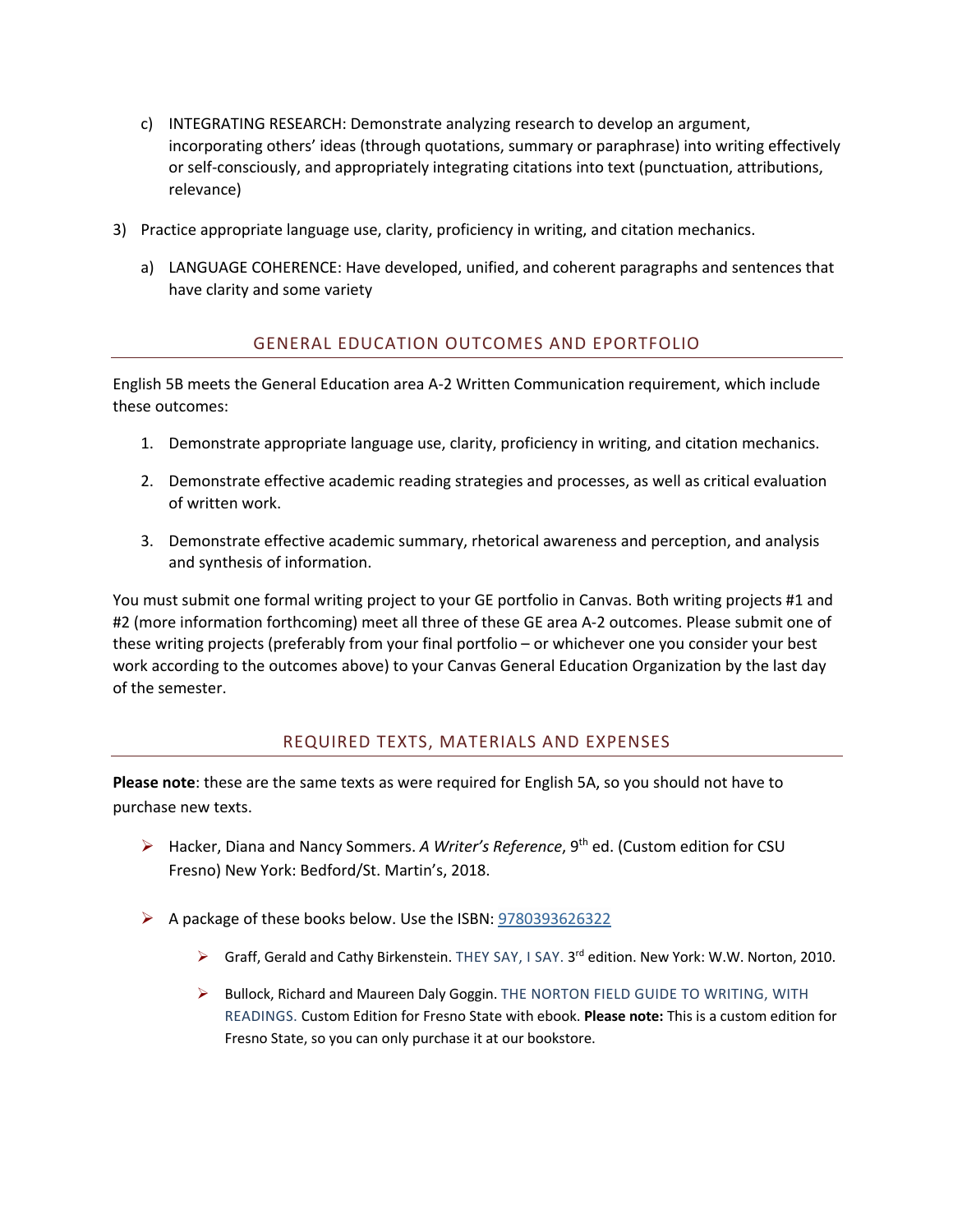- c) INTEGRATING RESEARCH: Demonstrate analyzing research to develop an argument, incorporating others' ideas (through quotations, summary or paraphrase) into writing effectively or self-consciously, and appropriately integrating citations into text (punctuation, attributions, relevance)
- 3) Practice appropriate language use, clarity, proficiency in writing, and citation mechanics.
	- a) LANGUAGE COHERENCE: Have developed, unified, and coherent paragraphs and sentences that have clarity and some variety

#### GENERAL EDUCATION OUTCOMES AND EPORTFOLIO

English 5B meets the General Education area A-2 Written Communication requirement, which include these outcomes:

- 1. Demonstrate appropriate language use, clarity, proficiency in writing, and citation mechanics.
- 2. Demonstrate effective academic reading strategies and processes, as well as critical evaluation of written work.
- 3. Demonstrate effective academic summary, rhetorical awareness and perception, and analysis and synthesis of information.

You must submit one formal writing project to your GE portfolio in Canvas. Both writing projects #1 and #2 (more information forthcoming) meet all three of these GE area A-2 outcomes. Please submit one of these writing projects (preferably from your final portfolio – or whichever one you consider your best work according to the outcomes above) to your Canvas General Education Organization by the last day of the semester.

#### REQUIRED TEXTS, MATERIALS AND EXPENSES

**Please note**: these are the same texts as were required for English 5A, so you should not have to purchase new texts.

- Ø Hacker, Diana and Nancy Sommers. *A Writer's Reference*, 9th ed. (Custom edition for CSU Fresno) New York: Bedford/St. Martin's, 2018.
- $\triangleright$  A package of these books below. Use the ISBN: 9780393626322
	- Ø Graff, Gerald and Cathy Birkenstein. THEY SAY, I SAY. 3rd edition. New York: W.W. Norton, 2010.
	- $\triangleright$  Bullock, Richard and Maureen Daly Goggin. THE NORTON FIELD GUIDE TO WRITING, WITH READINGS. Custom Edition for Fresno State with ebook. **Please note:** This is a custom edition for Fresno State, so you can only purchase it at our bookstore.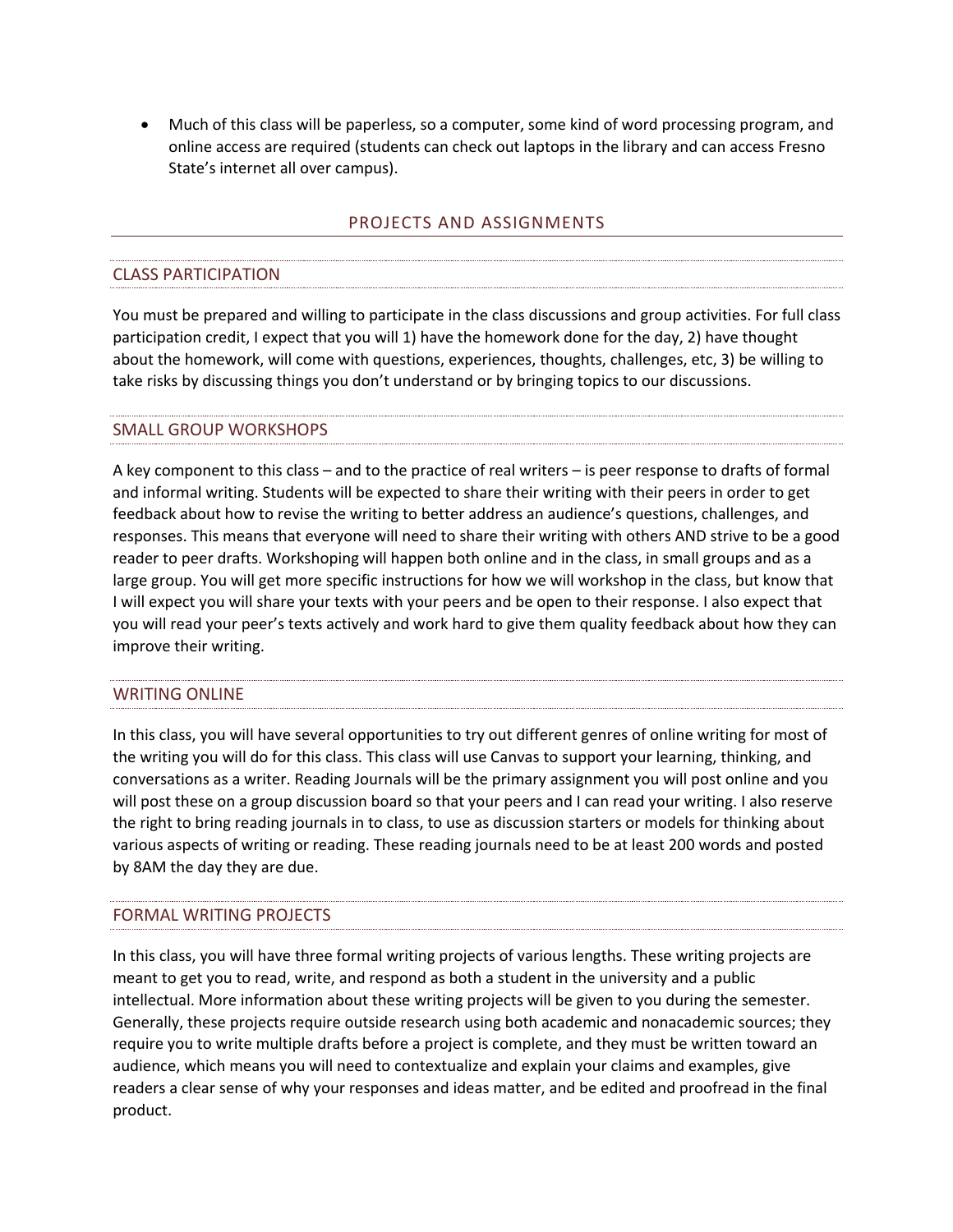• Much of this class will be paperless, so a computer, some kind of word processing program, and online access are required (students can check out laptops in the library and can access Fresno State's internet all over campus).

#### PROJECTS AND ASSIGNMENTS

## CLASS PARTICIPATION

You must be prepared and willing to participate in the class discussions and group activities. For full class participation credit, I expect that you will 1) have the homework done for the day, 2) have thought about the homework, will come with questions, experiences, thoughts, challenges, etc, 3) be willing to take risks by discussing things you don't understand or by bringing topics to our discussions.

### SMALL GROUP WORKSHOPS

A key component to this class – and to the practice of real writers – is peer response to drafts of formal and informal writing. Students will be expected to share their writing with their peers in order to get feedback about how to revise the writing to better address an audience's questions, challenges, and responses. This means that everyone will need to share their writing with others AND strive to be a good reader to peer drafts. Workshoping will happen both online and in the class, in small groups and as a large group. You will get more specific instructions for how we will workshop in the class, but know that I will expect you will share your texts with your peers and be open to their response. I also expect that you will read your peer's texts actively and work hard to give them quality feedback about how they can improve their writing.

### WRITING ONLINE

In this class, you will have several opportunities to try out different genres of online writing for most of the writing you will do for this class. This class will use Canvas to support your learning, thinking, and conversations as a writer. Reading Journals will be the primary assignment you will post online and you will post these on a group discussion board so that your peers and I can read your writing. I also reserve the right to bring reading journals in to class, to use as discussion starters or models for thinking about various aspects of writing or reading. These reading journals need to be at least 200 words and posted by 8AM the day they are due.

# FORMAL WRITING PROJECTS

In this class, you will have three formal writing projects of various lengths. These writing projects are meant to get you to read, write, and respond as both a student in the university and a public intellectual. More information about these writing projects will be given to you during the semester. Generally, these projects require outside research using both academic and nonacademic sources; they require you to write multiple drafts before a project is complete, and they must be written toward an audience, which means you will need to contextualize and explain your claims and examples, give readers a clear sense of why your responses and ideas matter, and be edited and proofread in the final product.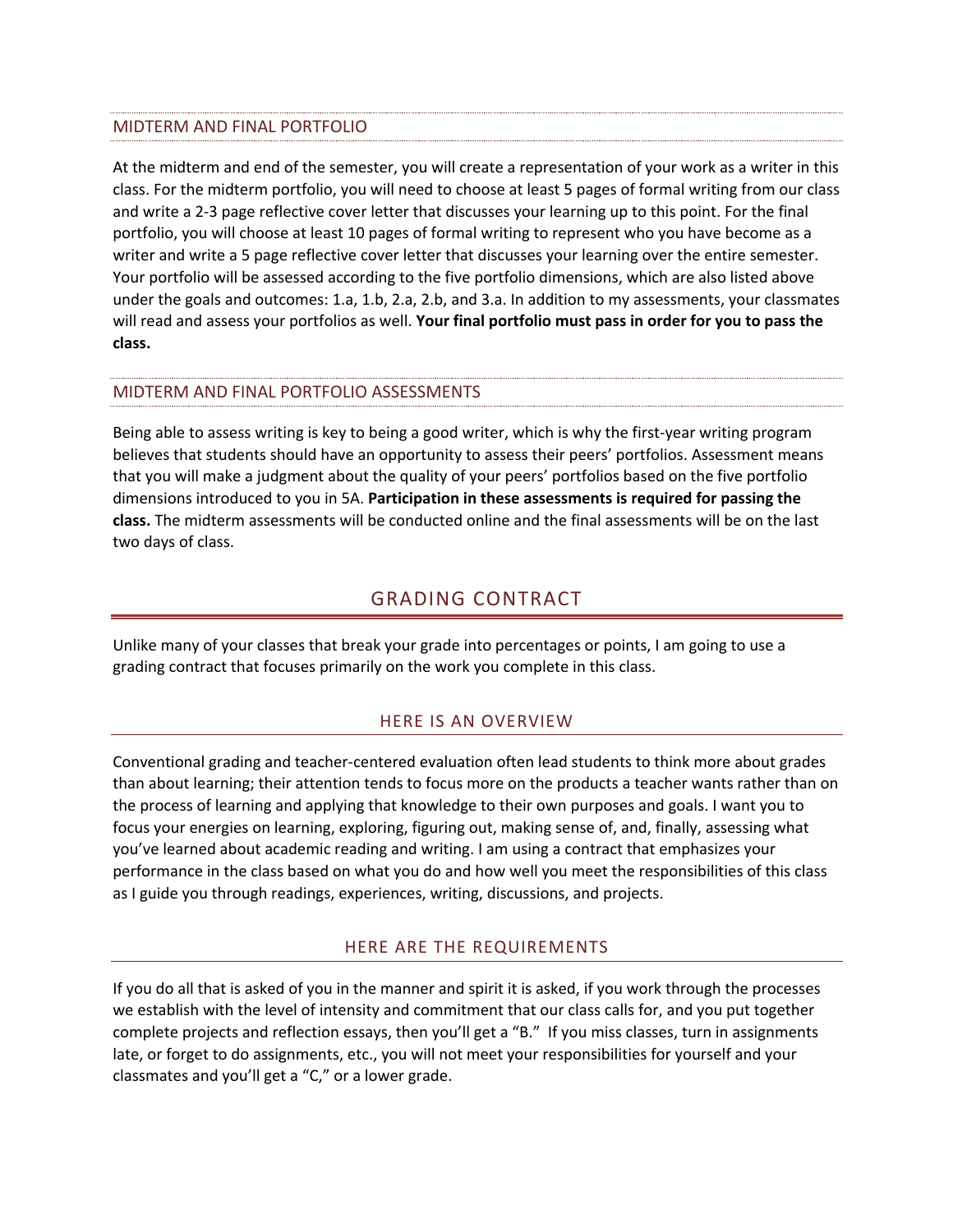### MIDTERM AND FINAL PORTFOLIO

At the midterm and end of the semester, you will create a representation of your work as a writer in this class. For the midterm portfolio, you will need to choose at least 5 pages of formal writing from our class and write a 2-3 page reflective cover letter that discusses your learning up to this point. For the final portfolio, you will choose at least 10 pages of formal writing to represent who you have become as a writer and write a 5 page reflective cover letter that discusses your learning over the entire semester. Your portfolio will be assessed according to the five portfolio dimensions, which are also listed above under the goals and outcomes: 1.a, 1.b, 2.a, 2.b, and 3.a. In addition to my assessments, your classmates will read and assess your portfolios as well. **Your final portfolio must pass in order for you to pass the class.**

# MIDTERM AND FINAL PORTFOLIO ASSESSMENTS

Being able to assess writing is key to being a good writer, which is why the first-year writing program believes that students should have an opportunity to assess their peers' portfolios. Assessment means that you will make a judgment about the quality of your peers' portfolios based on the five portfolio dimensions introduced to you in 5A. **Participation in these assessments is required for passing the class.** The midterm assessments will be conducted online and the final assessments will be on the last two days of class.

# GRADING CONTRACT

Unlike many of your classes that break your grade into percentages or points, I am going to use a grading contract that focuses primarily on the work you complete in this class.

#### HERE IS AN OVERVIEW

Conventional grading and teacher-centered evaluation often lead students to think more about grades than about learning; their attention tends to focus more on the products a teacher wants rather than on the process of learning and applying that knowledge to their own purposes and goals. I want you to focus your energies on learning, exploring, figuring out, making sense of, and, finally, assessing what you've learned about academic reading and writing. I am using a contract that emphasizes your performance in the class based on what you do and how well you meet the responsibilities of this class as I guide you through readings, experiences, writing, discussions, and projects.

#### HERE ARE THE REQUIREMENTS

If you do all that is asked of you in the manner and spirit it is asked, if you work through the processes we establish with the level of intensity and commitment that our class calls for, and you put together complete projects and reflection essays, then you'll get a "B." If you miss classes, turn in assignments late, or forget to do assignments, etc., you will not meet your responsibilities for yourself and your classmates and you'll get a "C," or a lower grade.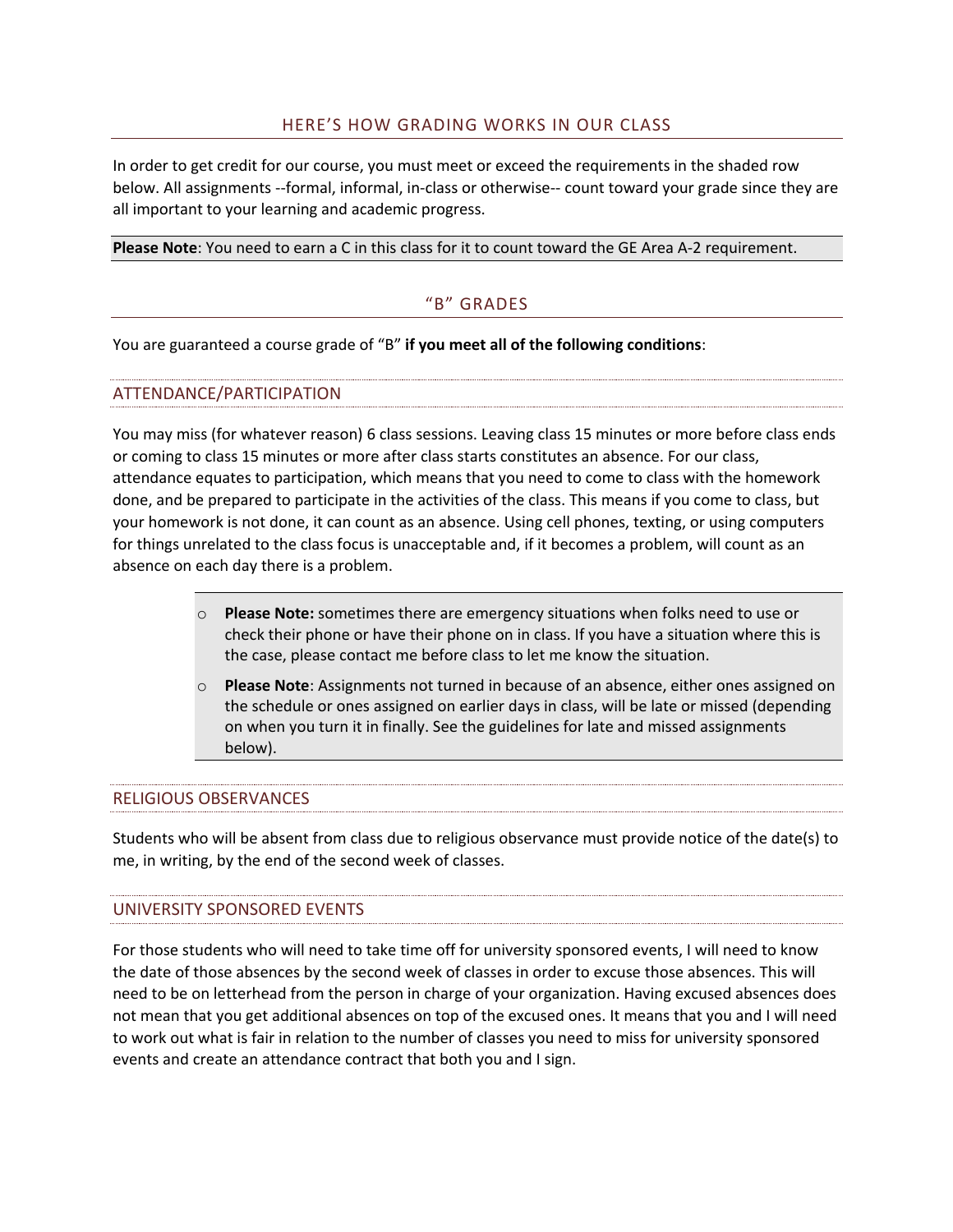#### HERE'S HOW GRADING WORKS IN OUR CLASS

In order to get credit for our course, you must meet or exceed the requirements in the shaded row below. All assignments --formal, informal, in-class or otherwise-- count toward your grade since they are all important to your learning and academic progress.

**Please Note**: You need to earn a C in this class for it to count toward the GE Area A-2 requirement.

#### "B" GRADES

You are guaranteed a course grade of "B" **if you meet all of the following conditions**:

### ATTENDANCE/PARTICIPATION

You may miss (for whatever reason) 6 class sessions. Leaving class 15 minutes or more before class ends or coming to class 15 minutes or more after class starts constitutes an absence. For our class, attendance equates to participation, which means that you need to come to class with the homework done, and be prepared to participate in the activities of the class. This means if you come to class, but your homework is not done, it can count as an absence. Using cell phones, texting, or using computers for things unrelated to the class focus is unacceptable and, if it becomes a problem, will count as an absence on each day there is a problem.

- o **Please Note:** sometimes there are emergency situations when folks need to use or check their phone or have their phone on in class. If you have a situation where this is the case, please contact me before class to let me know the situation.
- o **Please Note**: Assignments not turned in because of an absence, either ones assigned on the schedule or ones assigned on earlier days in class, will be late or missed (depending on when you turn it in finally. See the guidelines for late and missed assignments below).

#### RELIGIOUS OBSERVANCES

Students who will be absent from class due to religious observance must provide notice of the date(s) to me, in writing, by the end of the second week of classes.

#### UNIVERSITY SPONSORED EVENTS

For those students who will need to take time off for university sponsored events, I will need to know the date of those absences by the second week of classes in order to excuse those absences. This will need to be on letterhead from the person in charge of your organization. Having excused absences does not mean that you get additional absences on top of the excused ones. It means that you and I will need to work out what is fair in relation to the number of classes you need to miss for university sponsored events and create an attendance contract that both you and I sign.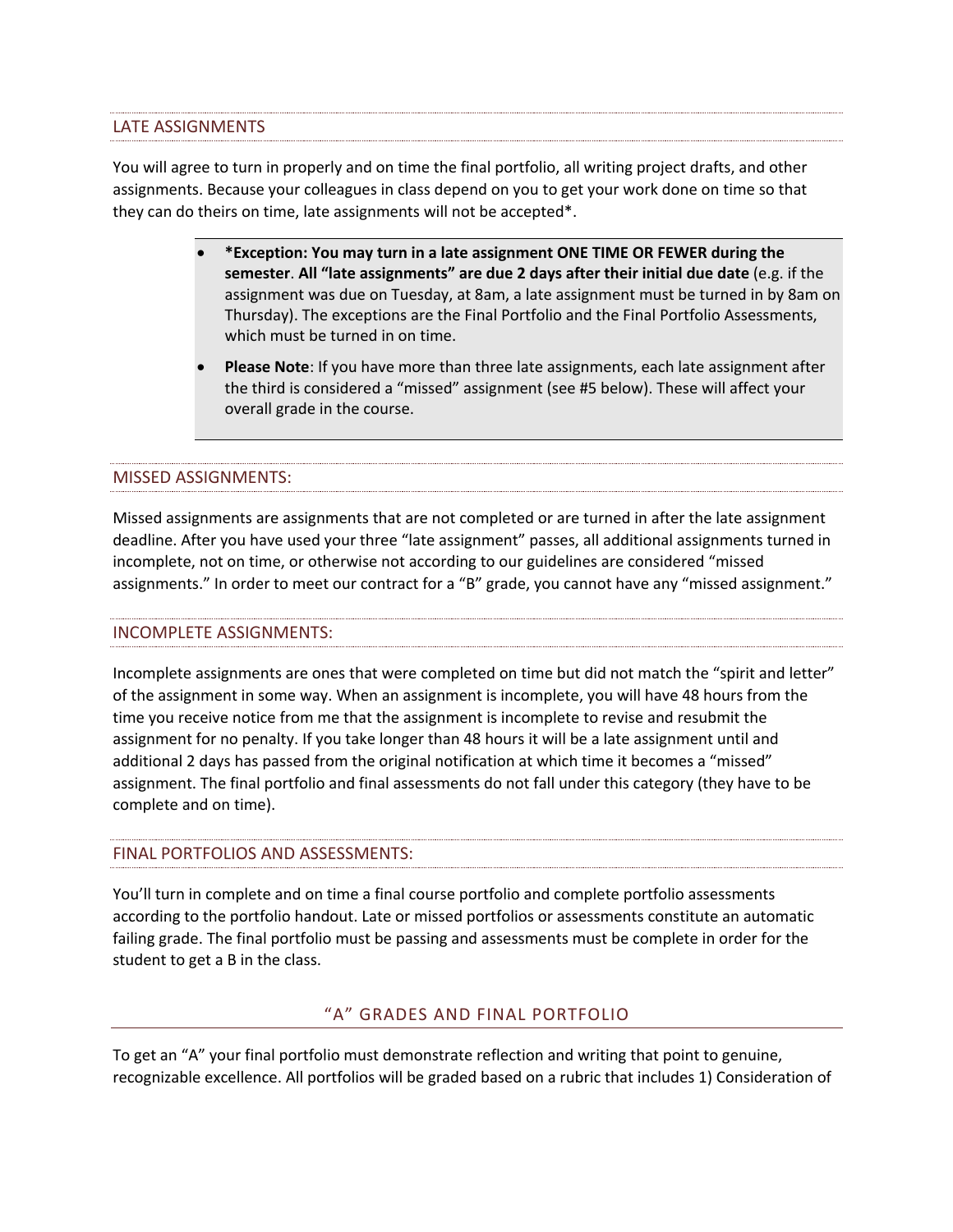LATE ASSIGNMENTS

You will agree to turn in properly and on time the final portfolio, all writing project drafts, and other assignments. Because your colleagues in class depend on you to get your work done on time so that they can do theirs on time, late assignments will not be accepted\*.

- **\*Exception: You may turn in a late assignment ONE TIME OR FEWER during the semester**. **All "late assignments" are due 2 days after their initial due date** (e.g. if the assignment was due on Tuesday, at 8am, a late assignment must be turned in by 8am on Thursday). The exceptions are the Final Portfolio and the Final Portfolio Assessments, which must be turned in on time.
- **Please Note**: If you have more than three late assignments, each late assignment after the third is considered a "missed" assignment (see #5 below). These will affect your overall grade in the course.

# MISSED ASSIGNMENTS:

Missed assignments are assignments that are not completed or are turned in after the late assignment deadline. After you have used your three "late assignment" passes, all additional assignments turned in incomplete, not on time, or otherwise not according to our guidelines are considered "missed assignments." In order to meet our contract for a "B" grade, you cannot have any "missed assignment."

# INCOMPLETE ASSIGNMENTS:

Incomplete assignments are ones that were completed on time but did not match the "spirit and letter" of the assignment in some way. When an assignment is incomplete, you will have 48 hours from the time you receive notice from me that the assignment is incomplete to revise and resubmit the assignment for no penalty. If you take longer than 48 hours it will be a late assignment until and additional 2 days has passed from the original notification at which time it becomes a "missed" assignment. The final portfolio and final assessments do not fall under this category (they have to be complete and on time).

# FINAL PORTFOLIOS AND ASSESSMENTS:

You'll turn in complete and on time a final course portfolio and complete portfolio assessments according to the portfolio handout. Late or missed portfolios or assessments constitute an automatic failing grade. The final portfolio must be passing and assessments must be complete in order for the student to get a B in the class.

### "A" GRADES AND FINAL PORTFOLIO

To get an "A" your final portfolio must demonstrate reflection and writing that point to genuine, recognizable excellence. All portfolios will be graded based on a rubric that includes 1) Consideration of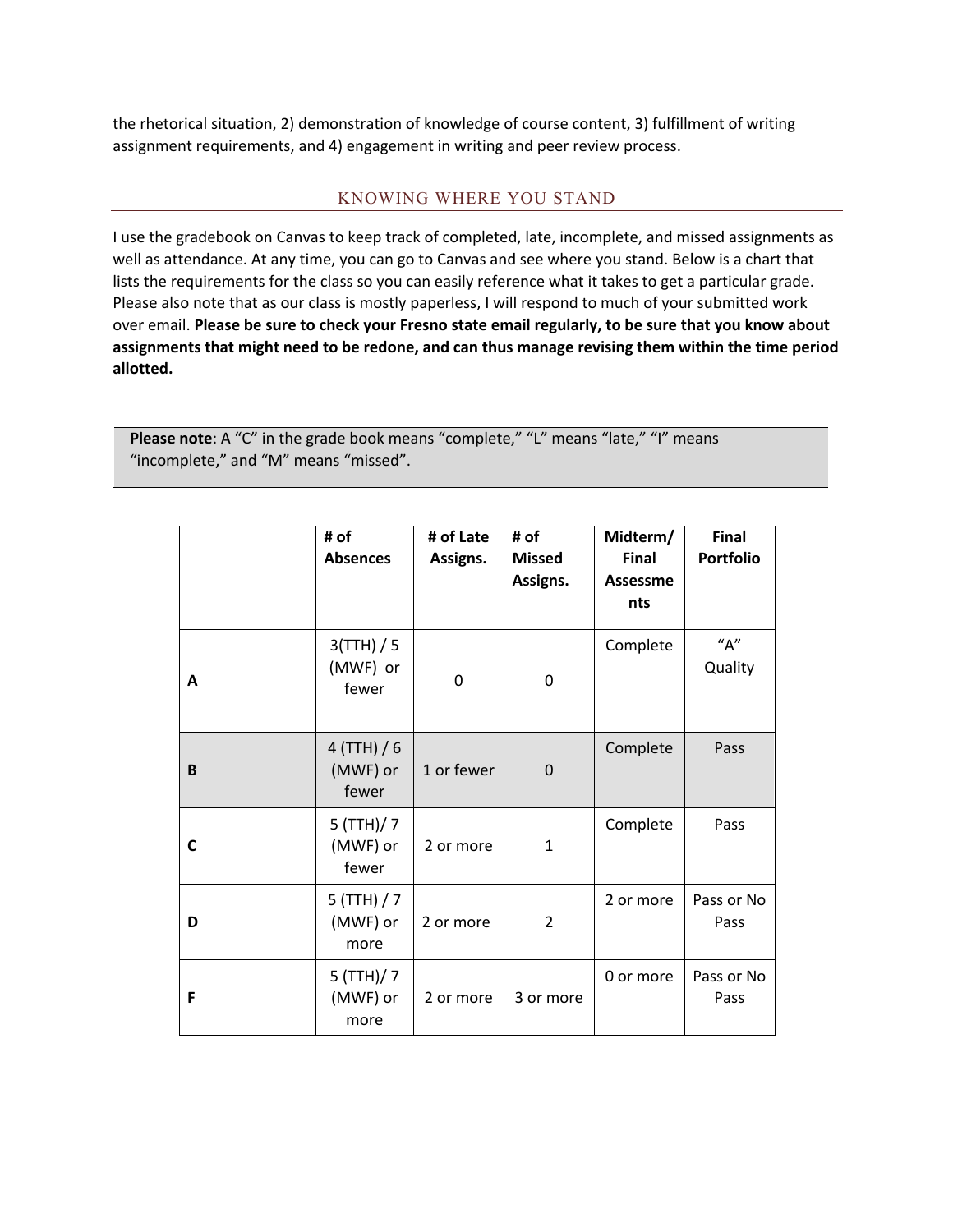the rhetorical situation, 2) demonstration of knowledge of course content, 3) fulfillment of writing assignment requirements, and 4) engagement in writing and peer review process.

#### KNOWING WHERE YOU STAND

I use the gradebook on Canvas to keep track of completed, late, incomplete, and missed assignments as well as attendance. At any time, you can go to Canvas and see where you stand. Below is a chart that lists the requirements for the class so you can easily reference what it takes to get a particular grade. Please also note that as our class is mostly paperless, I will respond to much of your submitted work over email. **Please be sure to check your Fresno state email regularly, to be sure that you know about assignments that might need to be redone, and can thus manage revising them within the time period allotted.**

Please note: A "C" in the grade book means "complete," "L" means "late," "I" means "incomplete," and "M" means "missed".

|   | # of<br><b>Absences</b>            | # of Late<br>Assigns. | # of<br><b>Missed</b><br>Assigns. | Midterm/<br><b>Final</b><br><b>Assessme</b><br>nts | Final<br><b>Portfolio</b> |
|---|------------------------------------|-----------------------|-----------------------------------|----------------------------------------------------|---------------------------|
| A | 3(TTH) / 5<br>(MWF) or<br>fewer    | 0                     | 0                                 | Complete                                           | "A"<br>Quality            |
| B | $4$ (TTH) / 6<br>(MWF) or<br>fewer | 1 or fewer            | 0                                 | Complete                                           | Pass                      |
| C | $5$ (TTH)/ 7<br>(MWF) or<br>fewer  | 2 or more             | $\mathbf{1}$                      | Complete                                           | Pass                      |
| D | $5$ (TTH) / 7<br>(MWF) or<br>more  | 2 or more             | $\overline{2}$                    | 2 or more                                          | Pass or No<br>Pass        |
| F | $5$ (TTH)/ 7<br>(MWF) or<br>more   | 2 or more             | 3 or more                         | 0 or more                                          | Pass or No<br>Pass        |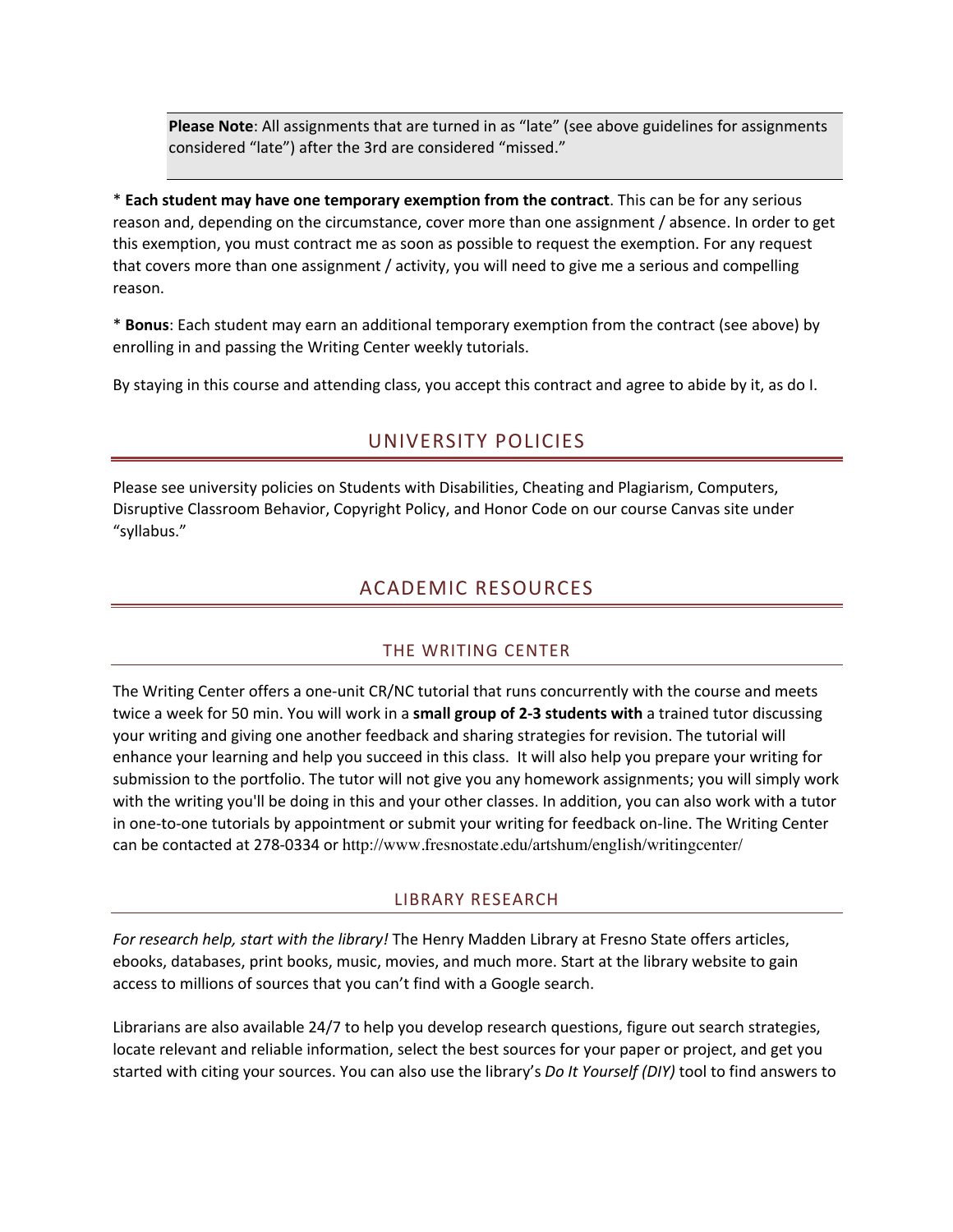**Please Note**: All assignments that are turned in as "late" (see above guidelines for assignments considered "late") after the 3rd are considered "missed."

\* **Each student may have one temporary exemption from the contract**. This can be for any serious reason and, depending on the circumstance, cover more than one assignment / absence. In order to get this exemption, you must contract me as soon as possible to request the exemption. For any request that covers more than one assignment / activity, you will need to give me a serious and compelling reason.

\* **Bonus**: Each student may earn an additional temporary exemption from the contract (see above) by enrolling in and passing the Writing Center weekly tutorials.

By staying in this course and attending class, you accept this contract and agree to abide by it, as do I.

## UNIVERSITY POLICIES

Please see university policies on Students with Disabilities, Cheating and Plagiarism, Computers, Disruptive Classroom Behavior, Copyright Policy, and Honor Code on our course Canvas site under "syllabus."

# ACADEMIC RESOURCES

#### THE WRITING CENTER

The Writing Center offers a one-unit CR/NC tutorial that runs concurrently with the course and meets twice a week for 50 min. You will work in a **small group of 2-3 students with** a trained tutor discussing your writing and giving one another feedback and sharing strategies for revision. The tutorial will enhance your learning and help you succeed in this class. It will also help you prepare your writing for submission to the portfolio. The tutor will not give you any homework assignments; you will simply work with the writing you'll be doing in this and your other classes. In addition, you can also work with a tutor in one-to-one tutorials by appointment or submit your writing for feedback on-line. The Writing Center can be contacted at 278-0334 or http://www.fresnostate.edu/artshum/english/writingcenter/

#### LIBRARY RESEARCH

*For research help, start with the library!* The Henry Madden Library at Fresno State offers articles, ebooks, databases, print books, music, movies, and much more. Start at the library website to gain access to millions of sources that you can't find with a Google search.

Librarians are also available 24/7 to help you develop research questions, figure out search strategies, locate relevant and reliable information, select the best sources for your paper or project, and get you started with citing your sources. You can also use the library's *Do It Yourself (DIY)* tool to find answers to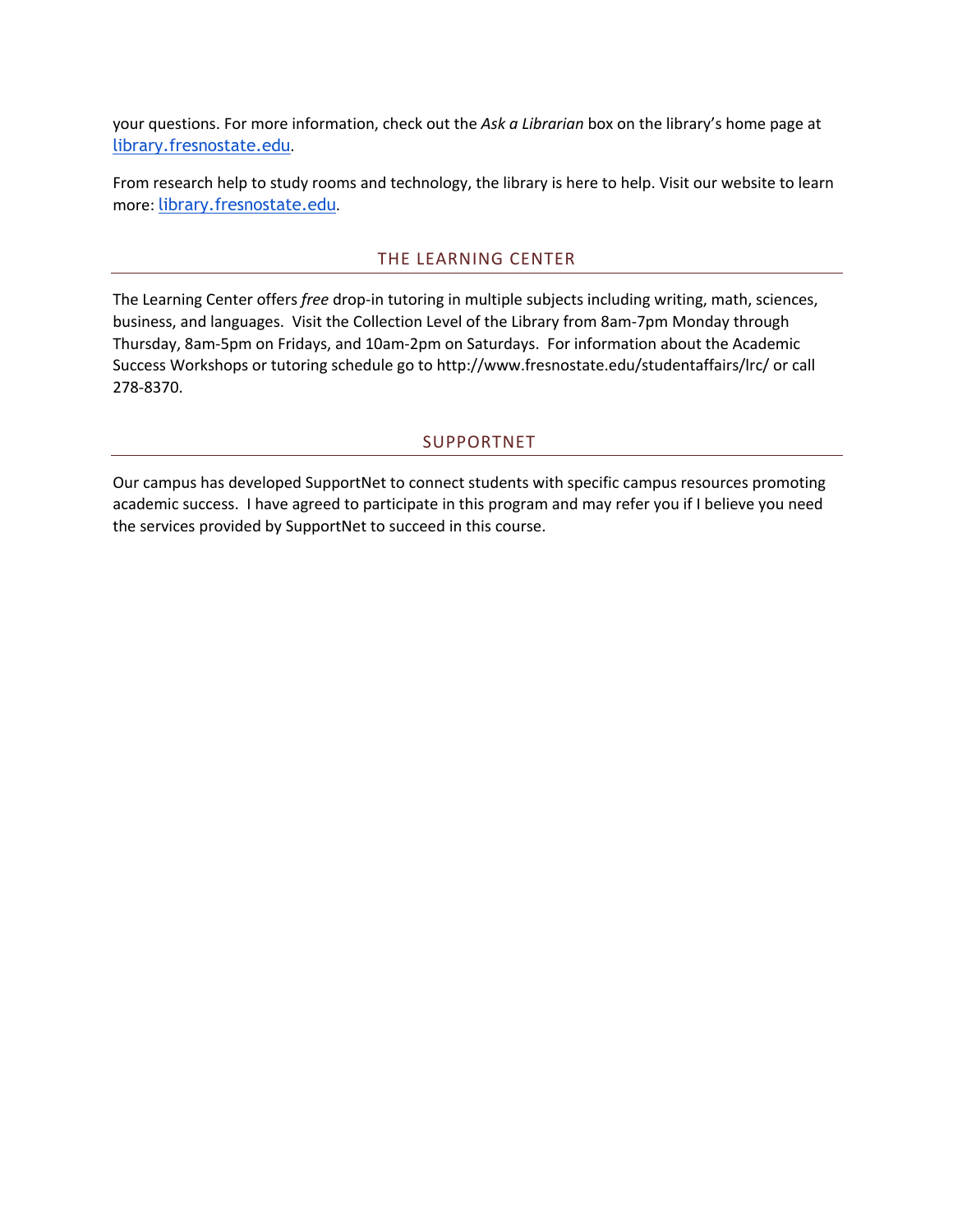your questions. For more information, check out the *Ask a Librarian* box on the library's home page at library.fresnostate.edu.

From research help to study rooms and technology, the library is here to help. Visit our website to learn more: library.fresnostate.edu.

#### THE LEARNING CENTER

The Learning Center offers *free* drop-in tutoring in multiple subjects including writing, math, sciences, business, and languages. Visit the Collection Level of the Library from 8am-7pm Monday through Thursday, 8am-5pm on Fridays, and 10am-2pm on Saturdays. For information about the Academic Success Workshops or tutoring schedule go to http://www.fresnostate.edu/studentaffairs/lrc/ or call 278-8370.

#### SUPPORTNET

Our campus has developed SupportNet to connect students with specific campus resources promoting academic success. I have agreed to participate in this program and may refer you if I believe you need the services provided by SupportNet to succeed in this course.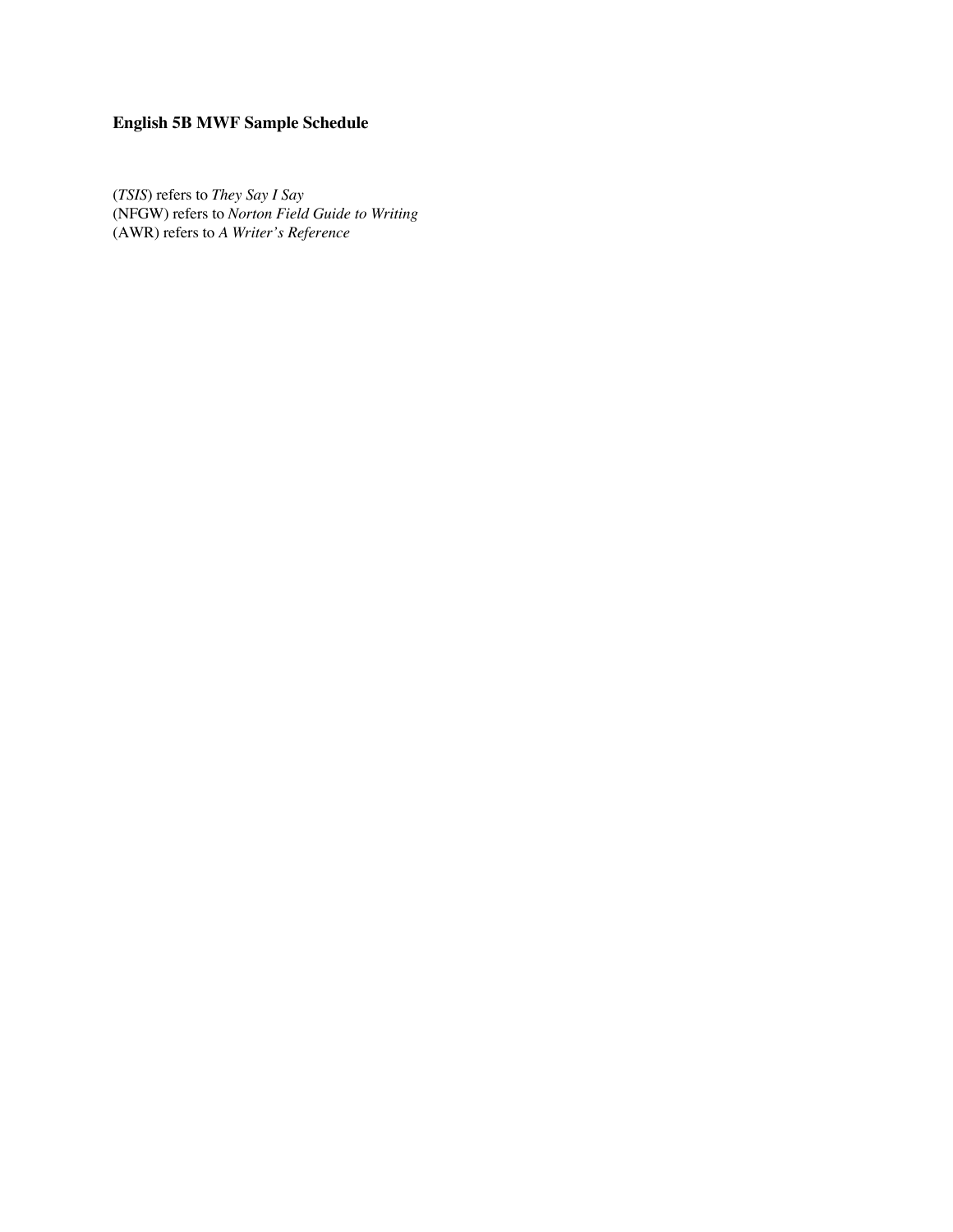# **English 5B MWF Sample Schedule**

(*TSIS*) refers to *They Say I Say* (NFGW) refers to *Norton Field Guide to Writing* (AWR) refers to *A Writer's Reference*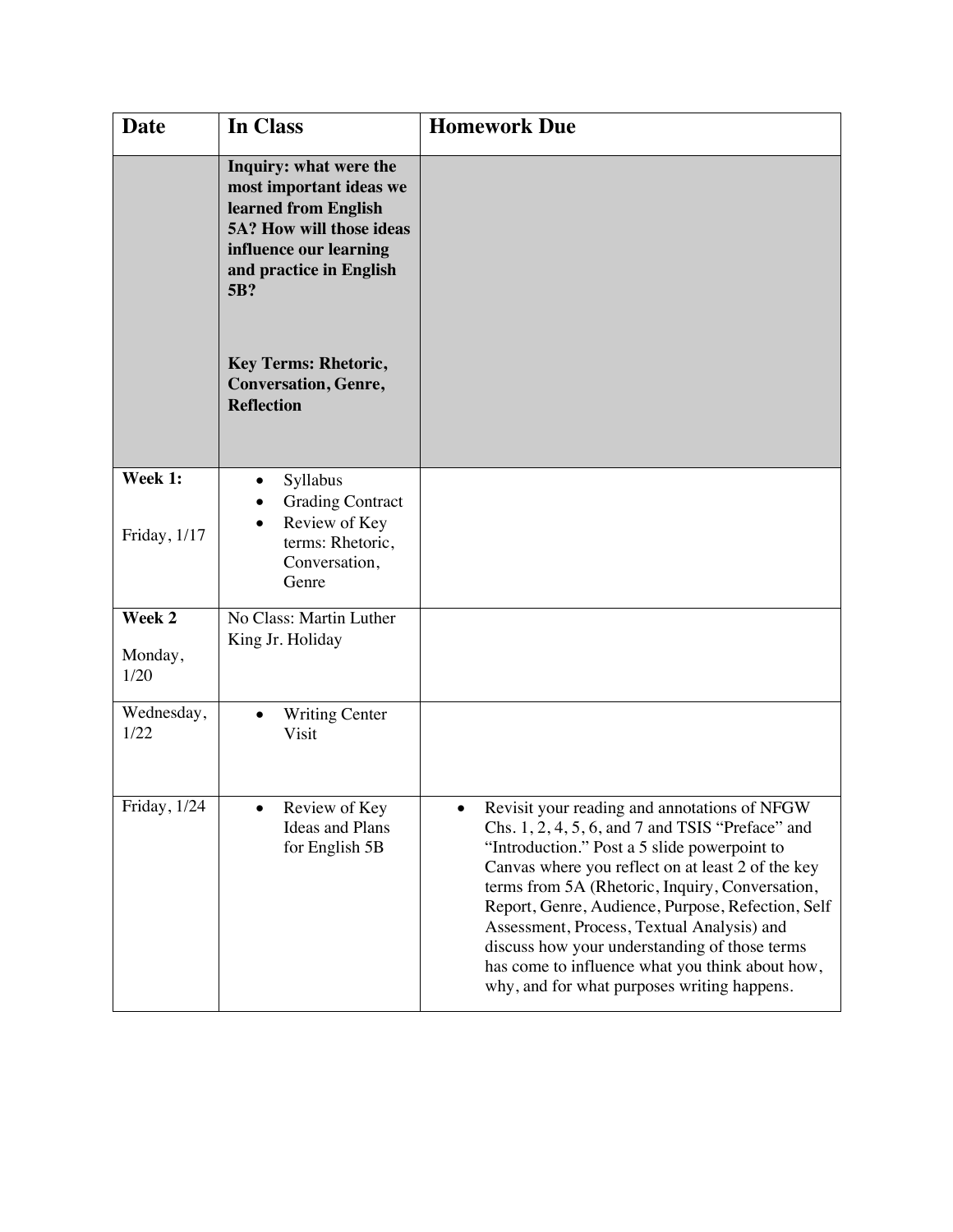| <b>Date</b>               | In Class                                                                                                                                                                                                                                                    | <b>Homework Due</b>                                                                                                                                                                                                                                                                                                                                                                                                                                                                                            |
|---------------------------|-------------------------------------------------------------------------------------------------------------------------------------------------------------------------------------------------------------------------------------------------------------|----------------------------------------------------------------------------------------------------------------------------------------------------------------------------------------------------------------------------------------------------------------------------------------------------------------------------------------------------------------------------------------------------------------------------------------------------------------------------------------------------------------|
|                           | Inquiry: what were the<br>most important ideas we<br>learned from English<br><b>5A? How will those ideas</b><br>influence our learning<br>and practice in English<br>5B?<br><b>Key Terms: Rhetoric,</b><br><b>Conversation, Genre,</b><br><b>Reflection</b> |                                                                                                                                                                                                                                                                                                                                                                                                                                                                                                                |
| Week 1:<br>Friday, 1/17   | Syllabus<br><b>Grading Contract</b><br>Review of Key<br>terms: Rhetoric,<br>Conversation,<br>Genre                                                                                                                                                          |                                                                                                                                                                                                                                                                                                                                                                                                                                                                                                                |
| Week 2<br>Monday,<br>1/20 | No Class: Martin Luther<br>King Jr. Holiday                                                                                                                                                                                                                 |                                                                                                                                                                                                                                                                                                                                                                                                                                                                                                                |
| Wednesday,<br>1/22        | <b>Writing Center</b><br>Visit                                                                                                                                                                                                                              |                                                                                                                                                                                                                                                                                                                                                                                                                                                                                                                |
| Friday, 1/24              | Review of Key<br><b>Ideas and Plans</b><br>for English 5B                                                                                                                                                                                                   | Revisit your reading and annotations of NFGW<br>Chs. 1, 2, 4, 5, 6, and 7 and TSIS "Preface" and<br>"Introduction." Post a 5 slide powerpoint to<br>Canvas where you reflect on at least 2 of the key<br>terms from 5A (Rhetoric, Inquiry, Conversation,<br>Report, Genre, Audience, Purpose, Refection, Self<br>Assessment, Process, Textual Analysis) and<br>discuss how your understanding of those terms<br>has come to influence what you think about how,<br>why, and for what purposes writing happens. |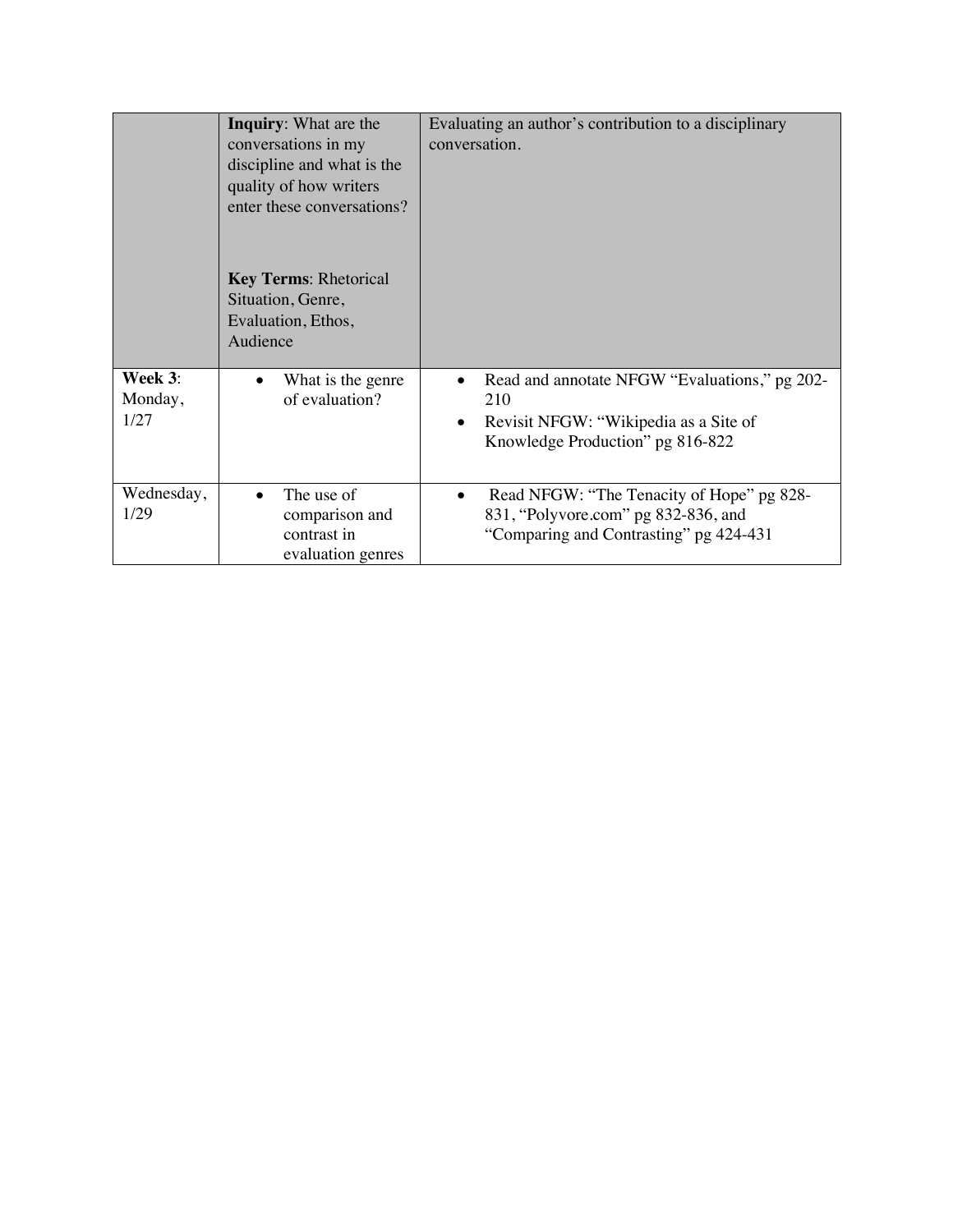|                            | <b>Inquiry:</b> What are the<br>conversations in my<br>discipline and what is the<br>quality of how writers<br>enter these conversations? | Evaluating an author's contribution to a disciplinary<br>conversation.                                                            |
|----------------------------|-------------------------------------------------------------------------------------------------------------------------------------------|-----------------------------------------------------------------------------------------------------------------------------------|
|                            | <b>Key Terms: Rhetorical</b><br>Situation, Genre,<br>Evaluation, Ethos,<br>Audience                                                       |                                                                                                                                   |
| Week 3:<br>Monday,<br>1/27 | What is the genre<br>of evaluation?                                                                                                       | Read and annotate NFGW "Evaluations," pg 202-<br>210<br>Revisit NFGW: "Wikipedia as a Site of<br>Knowledge Production" pg 816-822 |
| Wednesday,<br>1/29         | The use of<br>comparison and<br>contrast in<br>evaluation genres                                                                          | Read NFGW: "The Tenacity of Hope" pg 828-<br>831, "Polyvore.com" pg 832-836, and<br>"Comparing and Contrasting" pg 424-431        |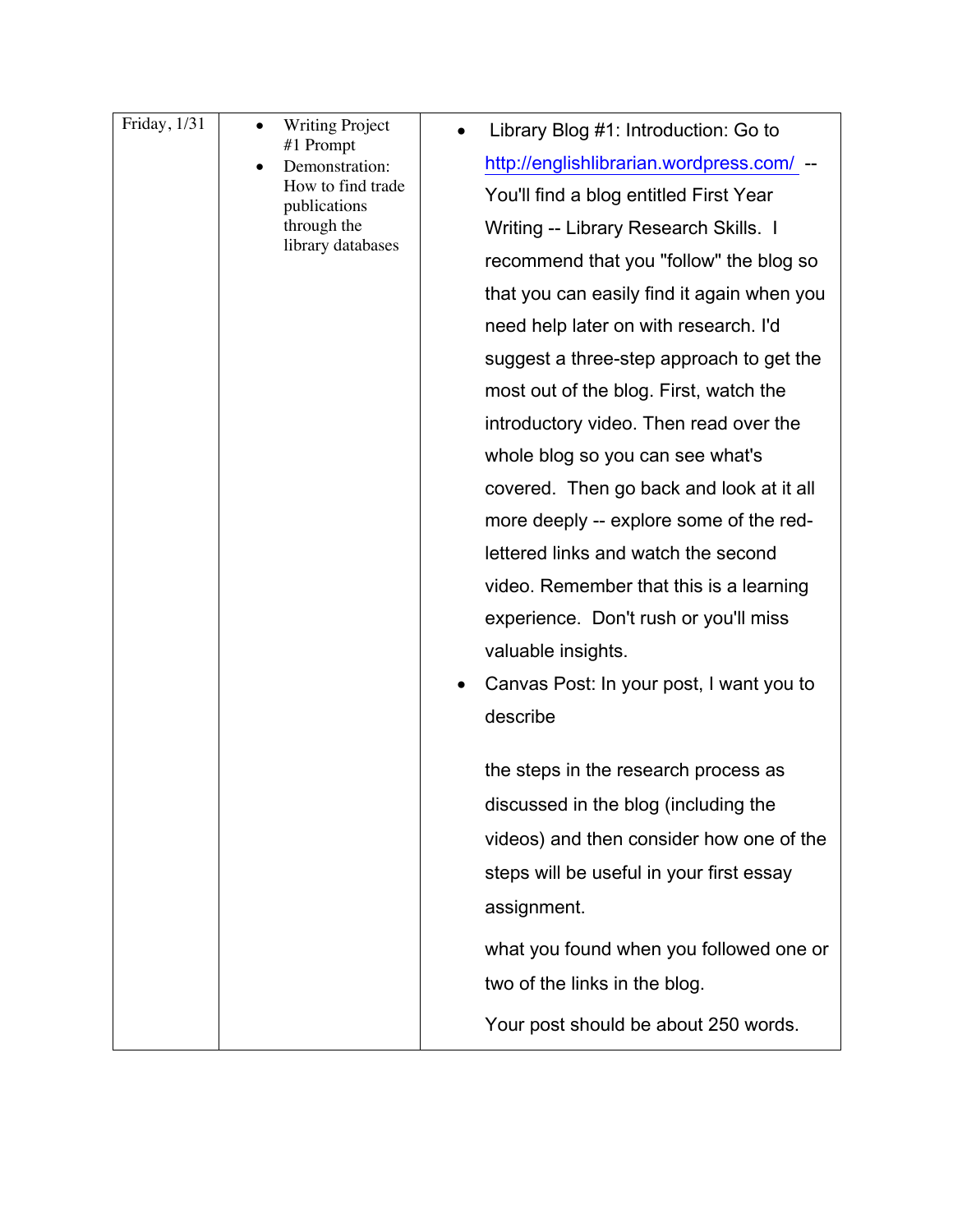| videos) and then consider how one of the<br>steps will be useful in your first essay<br>assignment.<br>two of the links in the blog.<br>Your post should be about 250 words. | Friday, 1/31 | <b>Writing Project</b><br>٠<br>#1 Prompt<br>Demonstration:<br>How to find trade<br>publications<br>through the<br>library databases | Library Blog #1: Introduction: Go to<br>http://englishlibrarian.wordpress.com/ --<br>You'll find a blog entitled First Year<br>Writing -- Library Research Skills. I<br>recommend that you "follow" the blog so<br>that you can easily find it again when you<br>need help later on with research. I'd<br>suggest a three-step approach to get the<br>most out of the blog. First, watch the<br>introductory video. Then read over the<br>whole blog so you can see what's<br>covered. Then go back and look at it all<br>more deeply -- explore some of the red-<br>lettered links and watch the second<br>video. Remember that this is a learning<br>experience. Don't rush or you'll miss<br>valuable insights.<br>Canvas Post: In your post, I want you to<br>describe<br>the steps in the research process as |
|------------------------------------------------------------------------------------------------------------------------------------------------------------------------------|--------------|-------------------------------------------------------------------------------------------------------------------------------------|--------------------------------------------------------------------------------------------------------------------------------------------------------------------------------------------------------------------------------------------------------------------------------------------------------------------------------------------------------------------------------------------------------------------------------------------------------------------------------------------------------------------------------------------------------------------------------------------------------------------------------------------------------------------------------------------------------------------------------------------------------------------------------------------------------------------|
|                                                                                                                                                                              |              |                                                                                                                                     | discussed in the blog (including the                                                                                                                                                                                                                                                                                                                                                                                                                                                                                                                                                                                                                                                                                                                                                                               |
|                                                                                                                                                                              |              |                                                                                                                                     |                                                                                                                                                                                                                                                                                                                                                                                                                                                                                                                                                                                                                                                                                                                                                                                                                    |
|                                                                                                                                                                              |              |                                                                                                                                     |                                                                                                                                                                                                                                                                                                                                                                                                                                                                                                                                                                                                                                                                                                                                                                                                                    |
|                                                                                                                                                                              |              |                                                                                                                                     | what you found when you followed one or                                                                                                                                                                                                                                                                                                                                                                                                                                                                                                                                                                                                                                                                                                                                                                            |
|                                                                                                                                                                              |              |                                                                                                                                     |                                                                                                                                                                                                                                                                                                                                                                                                                                                                                                                                                                                                                                                                                                                                                                                                                    |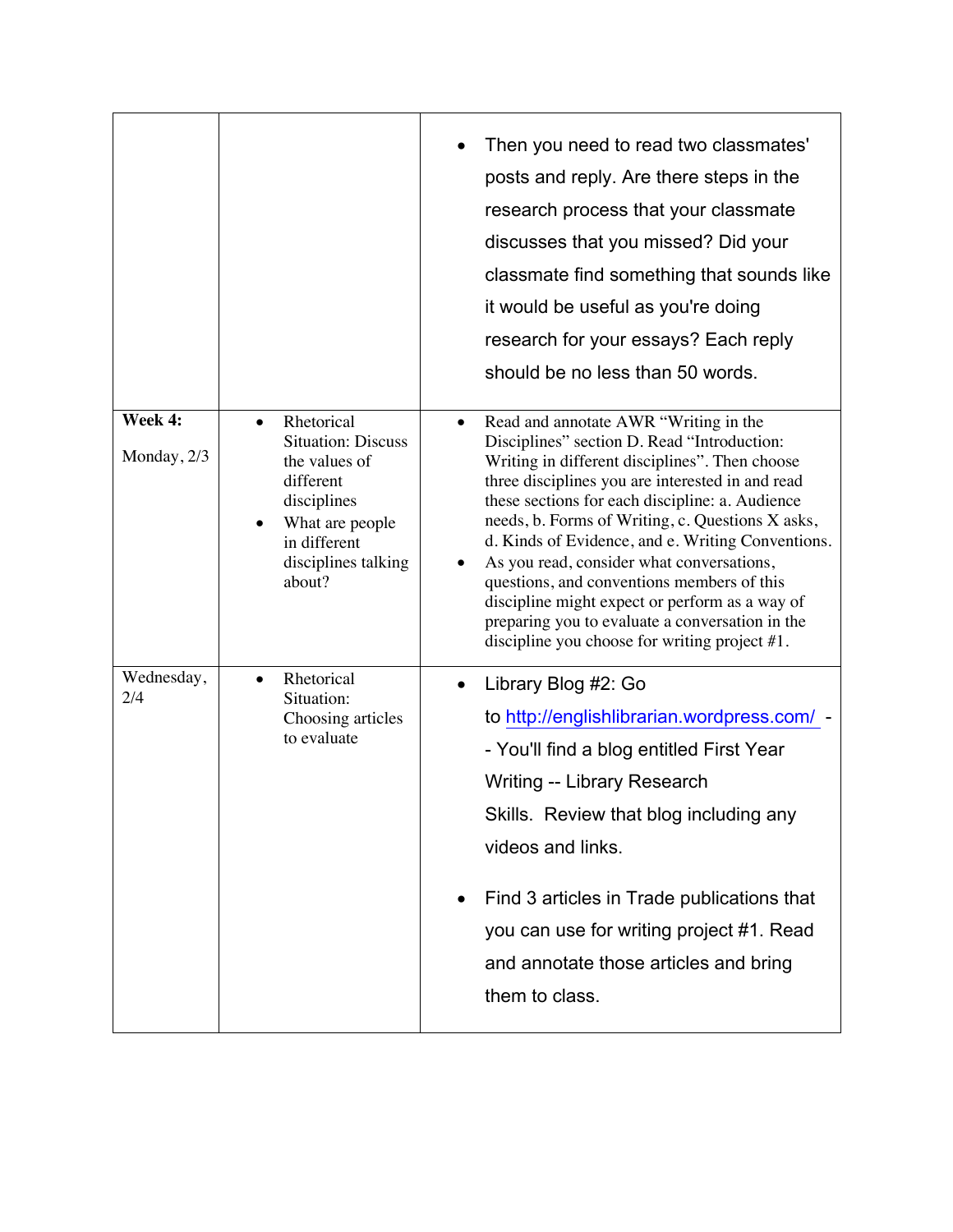|                        |                                                                                                                                                                       | Then you need to read two classmates'<br>posts and reply. Are there steps in the<br>research process that your classmate<br>discusses that you missed? Did your<br>classmate find something that sounds like<br>it would be useful as you're doing<br>research for your essays? Each reply<br>should be no less than 50 words.                                                                                                                                                                                                                                                                                          |
|------------------------|-----------------------------------------------------------------------------------------------------------------------------------------------------------------------|-------------------------------------------------------------------------------------------------------------------------------------------------------------------------------------------------------------------------------------------------------------------------------------------------------------------------------------------------------------------------------------------------------------------------------------------------------------------------------------------------------------------------------------------------------------------------------------------------------------------------|
| Week 4:<br>Monday, 2/3 | Rhetorical<br>$\bullet$<br><b>Situation: Discuss</b><br>the values of<br>different<br>disciplines<br>What are people<br>in different<br>disciplines talking<br>about? | Read and annotate AWR "Writing in the<br>$\bullet$<br>Disciplines" section D. Read "Introduction:<br>Writing in different disciplines". Then choose<br>three disciplines you are interested in and read<br>these sections for each discipline: a. Audience<br>needs, b. Forms of Writing, c. Questions X asks,<br>d. Kinds of Evidence, and e. Writing Conventions.<br>As you read, consider what conversations,<br>questions, and conventions members of this<br>discipline might expect or perform as a way of<br>preparing you to evaluate a conversation in the<br>discipline you choose for writing project $#1$ . |
| Wednesday,<br>2/4      | Rhetorical<br>$\bullet$<br>Situation:<br>Choosing articles<br>to evaluate                                                                                             | Library Blog #2: Go<br>to http://englishlibrarian.wordpress.com/ -<br>- You'll find a blog entitled First Year<br>Writing -- Library Research<br>Skills. Review that blog including any<br>videos and links.<br>Find 3 articles in Trade publications that<br>you can use for writing project #1. Read<br>and annotate those articles and bring<br>them to class.                                                                                                                                                                                                                                                       |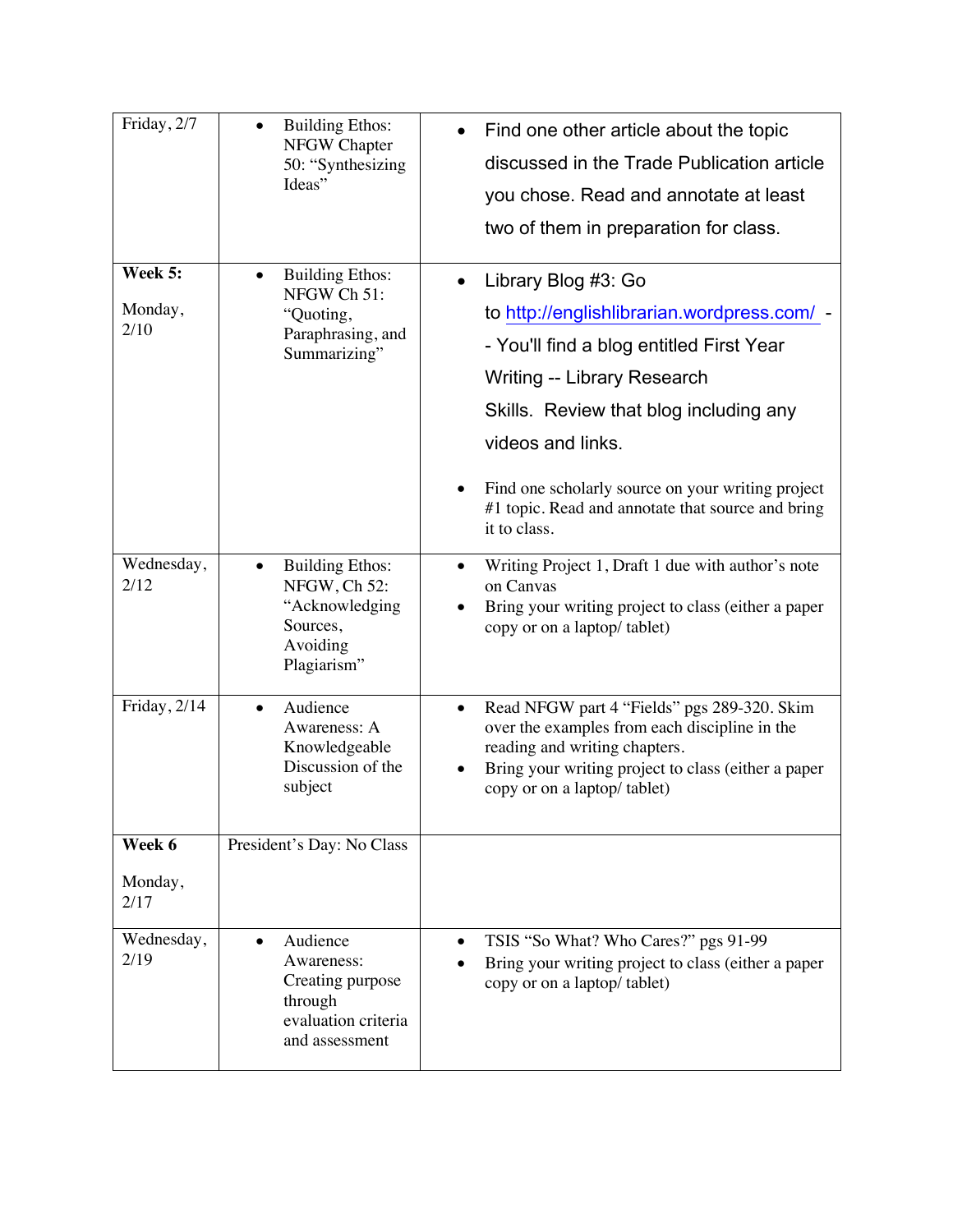| Friday, 2/7                | <b>Building Ethos:</b><br>NFGW Chapter<br>50: "Synthesizing<br>Ideas"                           | Find one other article about the topic<br>discussed in the Trade Publication article<br>you chose. Read and annotate at least<br>two of them in preparation for class.                                                                                                                                                                                     |
|----------------------------|-------------------------------------------------------------------------------------------------|------------------------------------------------------------------------------------------------------------------------------------------------------------------------------------------------------------------------------------------------------------------------------------------------------------------------------------------------------------|
| Week 5:<br>Monday,<br>2/10 | <b>Building Ethos:</b><br>NFGW Ch 51:<br>"Quoting,<br>Paraphrasing, and<br>Summarizing"         | Library Blog #3: Go<br>$\bullet$<br>to http://englishlibrarian.wordpress.com/ -<br>- You'll find a blog entitled First Year<br><b>Writing -- Library Research</b><br>Skills. Review that blog including any<br>videos and links.<br>Find one scholarly source on your writing project<br>#1 topic. Read and annotate that source and bring<br>it to class. |
| Wednesday,<br>2/12         | <b>Building Ethos:</b><br>NFGW, Ch 52:<br>"Acknowledging<br>Sources,<br>Avoiding<br>Plagiarism" | Writing Project 1, Draft 1 due with author's note<br>on Canvas<br>Bring your writing project to class (either a paper<br>copy or on a laptop/ tablet)                                                                                                                                                                                                      |
| Friday, 2/14               | Audience<br>$\bullet$<br>Awareness: A<br>Knowledgeable<br>Discussion of the<br>subject          | Read NFGW part 4 "Fields" pgs 289-320. Skim<br>over the examples from each discipline in the<br>reading and writing chapters.<br>Bring your writing project to class (either a paper<br>copy or on a laptop/ tablet)                                                                                                                                       |
| Week 6<br>Monday,<br>2/17  | President's Day: No Class                                                                       |                                                                                                                                                                                                                                                                                                                                                            |
| Wednesday,<br>2/19         | Audience<br>Awareness:<br>Creating purpose<br>through<br>evaluation criteria<br>and assessment  | TSIS "So What? Who Cares?" pgs 91-99<br>Bring your writing project to class (either a paper<br>copy or on a laptop/tablet)                                                                                                                                                                                                                                 |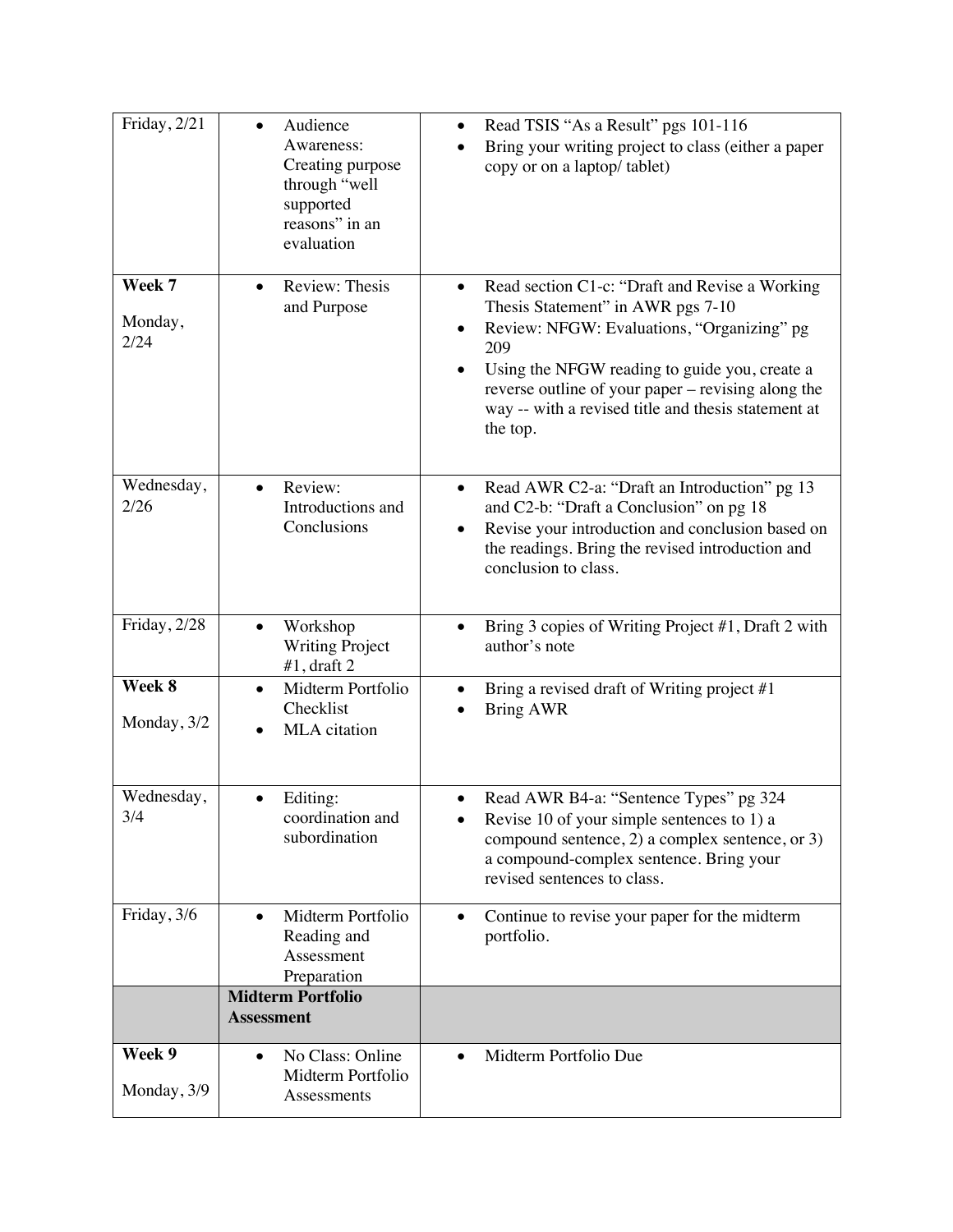| Friday, 2/21              | Audience<br>Awareness:<br>Creating purpose<br>through "well<br>supported<br>reasons" in an<br>evaluation | Read TSIS "As a Result" pgs 101-116<br>Bring your writing project to class (either a paper<br>copy or on a laptop/ tablet)                                                                                                                                                                                         |
|---------------------------|----------------------------------------------------------------------------------------------------------|--------------------------------------------------------------------------------------------------------------------------------------------------------------------------------------------------------------------------------------------------------------------------------------------------------------------|
| Week 7<br>Monday,<br>2/24 | Review: Thesis<br>and Purpose                                                                            | Read section C1-c: "Draft and Revise a Working<br>Thesis Statement" in AWR pgs 7-10<br>Review: NFGW: Evaluations, "Organizing" pg<br>209<br>Using the NFGW reading to guide you, create a<br>reverse outline of your paper – revising along the<br>way -- with a revised title and thesis statement at<br>the top. |
| Wednesday,<br>2/26        | Review:<br>$\bullet$<br>Introductions and<br>Conclusions                                                 | Read AWR C2-a: "Draft an Introduction" pg 13<br>$\bullet$<br>and C2-b: "Draft a Conclusion" on pg 18<br>Revise your introduction and conclusion based on<br>the readings. Bring the revised introduction and<br>conclusion to class.                                                                               |
| Friday, 2/28              | Workshop<br><b>Writing Project</b><br>$#1$ , draft 2                                                     | Bring 3 copies of Writing Project #1, Draft 2 with<br>author's note                                                                                                                                                                                                                                                |
| Week 8<br>Monday, 3/2     | Midterm Portfolio<br>$\bullet$<br>Checklist<br>MLA citation                                              | Bring a revised draft of Writing project #1<br><b>Bring AWR</b>                                                                                                                                                                                                                                                    |
| Wednesday,<br>3/4         | Editing:<br>coordination and<br>subordination                                                            | Read AWR B4-a: "Sentence Types" pg 324<br>Revise 10 of your simple sentences to 1) a<br>compound sentence, 2) a complex sentence, or 3)<br>a compound-complex sentence. Bring your<br>revised sentences to class.                                                                                                  |
| Friday, 3/6               | Midterm Portfolio<br>Reading and<br>Assessment<br>Preparation                                            | Continue to revise your paper for the midterm<br>$\bullet$<br>portfolio.                                                                                                                                                                                                                                           |
|                           | <b>Midterm Portfolio</b><br><b>Assessment</b>                                                            |                                                                                                                                                                                                                                                                                                                    |
| Week 9<br>Monday, 3/9     | No Class: Online<br>$\bullet$<br>Midterm Portfolio<br>Assessments                                        | Midterm Portfolio Due<br>$\bullet$                                                                                                                                                                                                                                                                                 |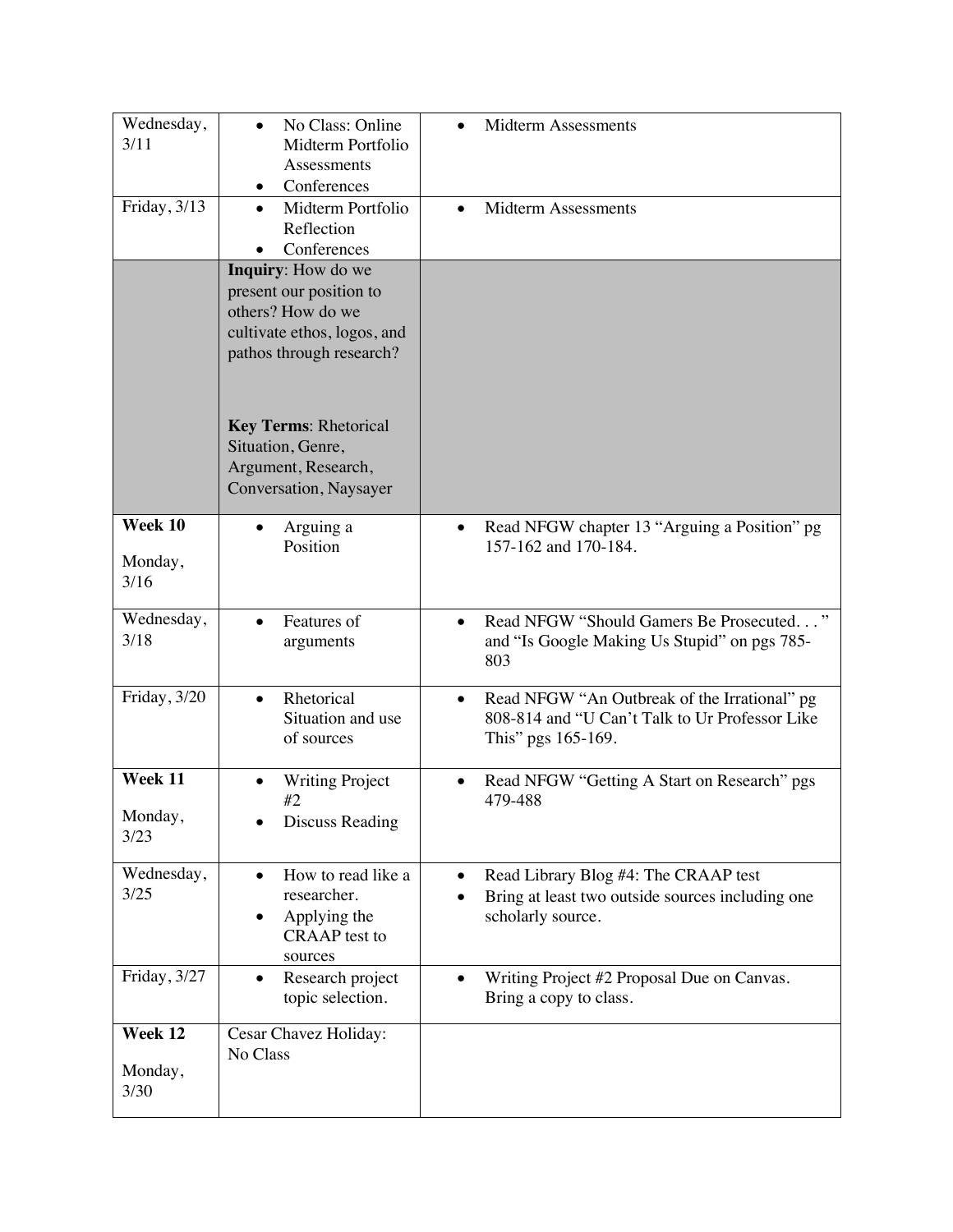| Wednesday,<br>3/11         | No Class: Online<br>Midterm Portfolio<br>Assessments<br>Conferences                                                           | <b>Midterm Assessments</b>                                                                                                        |
|----------------------------|-------------------------------------------------------------------------------------------------------------------------------|-----------------------------------------------------------------------------------------------------------------------------------|
| Friday, 3/13               | Midterm Portfolio<br>$\bullet$<br>Reflection<br>Conferences                                                                   | <b>Midterm Assessments</b>                                                                                                        |
|                            | Inquiry: How do we<br>present our position to<br>others? How do we<br>cultivate ethos, logos, and<br>pathos through research? |                                                                                                                                   |
|                            | <b>Key Terms: Rhetorical</b><br>Situation, Genre,<br>Argument, Research,<br>Conversation, Naysayer                            |                                                                                                                                   |
| Week 10<br>Monday,<br>3/16 | Arguing a<br>Position                                                                                                         | Read NFGW chapter 13 "Arguing a Position" pg<br>157-162 and 170-184.                                                              |
| Wednesday,<br>3/18         | Features of<br>arguments                                                                                                      | Read NFGW "Should Gamers Be Prosecuted"<br>and "Is Google Making Us Stupid" on pgs 785-<br>803                                    |
| Friday, 3/20               | Rhetorical<br>$\bullet$<br>Situation and use<br>of sources                                                                    | Read NFGW "An Outbreak of the Irrational" pg<br>$\bullet$<br>808-814 and "U Can't Talk to Ur Professor Like<br>This" pgs 165-169. |
| Week 11<br>Monday,<br>3/23 | <b>Writing Project</b><br>#2<br><b>Discuss Reading</b>                                                                        | Read NFGW "Getting A Start on Research" pgs<br>479-488                                                                            |
| Wednesday,<br>3/25         | How to read like a<br>researcher.<br>Applying the<br>٠<br><b>CRAAP</b> test to<br>sources                                     | Read Library Blog #4: The CRAAP test<br>Bring at least two outside sources including one<br>scholarly source.                     |
| Friday, 3/27               | Research project<br>topic selection.                                                                                          | Writing Project #2 Proposal Due on Canvas.<br>Bring a copy to class.                                                              |
| Week 12<br>Monday,<br>3/30 | Cesar Chavez Holiday:<br>No Class                                                                                             |                                                                                                                                   |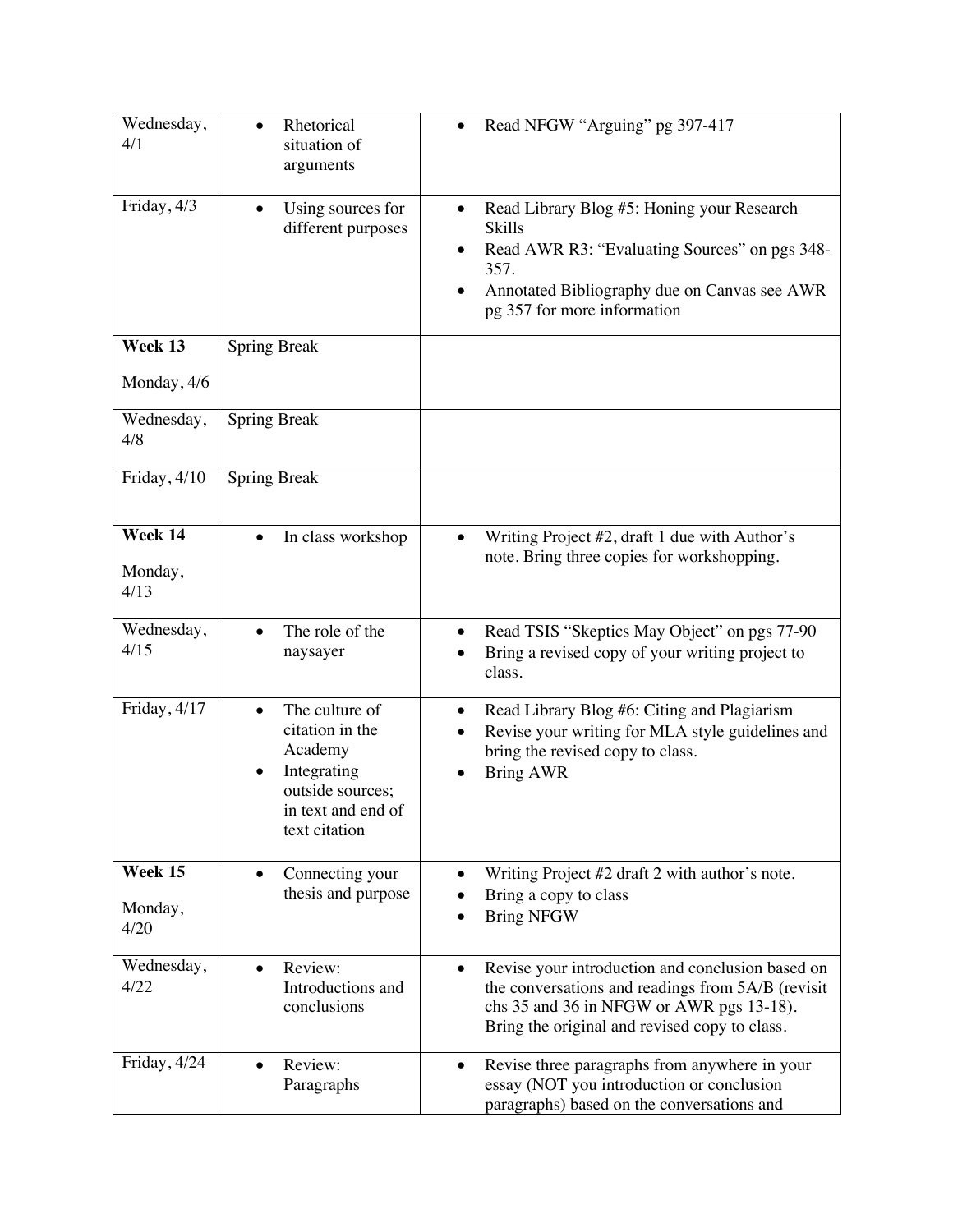| Wednesday,<br>4/1            | Rhetorical<br>situation of<br>arguments                                                                                             | Read NFGW "Arguing" pg 397-417                                                                                                                                                                                   |
|------------------------------|-------------------------------------------------------------------------------------------------------------------------------------|------------------------------------------------------------------------------------------------------------------------------------------------------------------------------------------------------------------|
| Friday, 4/3                  | Using sources for<br>different purposes                                                                                             | Read Library Blog #5: Honing your Research<br><b>Skills</b><br>Read AWR R3: "Evaluating Sources" on pgs 348-<br>357.<br>Annotated Bibliography due on Canvas see AWR<br>$\bullet$<br>pg 357 for more information |
| Week 13                      | <b>Spring Break</b>                                                                                                                 |                                                                                                                                                                                                                  |
| Monday, 4/6                  |                                                                                                                                     |                                                                                                                                                                                                                  |
| Wednesday,<br>4/8            | <b>Spring Break</b>                                                                                                                 |                                                                                                                                                                                                                  |
| Friday, 4/10                 | <b>Spring Break</b>                                                                                                                 |                                                                                                                                                                                                                  |
| Week 14<br>Monday,<br>4/13   | In class workshop                                                                                                                   | Writing Project #2, draft 1 due with Author's<br>note. Bring three copies for workshopping.                                                                                                                      |
| Wednesday,<br>4/15           | The role of the<br>naysayer                                                                                                         | Read TSIS "Skeptics May Object" on pgs 77-90<br>Bring a revised copy of your writing project to<br>class.                                                                                                        |
| Friday, 4/17                 | The culture of<br>$\bullet$<br>citation in the<br>Academy<br>Integrating<br>outside sources;<br>in text and end of<br>text citation | Read Library Blog #6: Citing and Plagiarism<br>$\bullet$<br>Revise your writing for MLA style guidelines and<br>bring the revised copy to class.<br><b>Bring AWR</b>                                             |
| Week $15$<br>Monday,<br>4/20 | Connecting your<br>$\bullet$<br>thesis and purpose                                                                                  | Writing Project #2 draft 2 with author's note.<br>Bring a copy to class<br><b>Bring NFGW</b>                                                                                                                     |
| Wednesday,<br>4/22           | Review:<br>Introductions and<br>conclusions                                                                                         | Revise your introduction and conclusion based on<br>the conversations and readings from 5A/B (revisit<br>chs 35 and 36 in NFGW or AWR pgs 13-18).<br>Bring the original and revised copy to class.               |
| Friday, 4/24                 | Review:<br>Paragraphs                                                                                                               | Revise three paragraphs from anywhere in your<br>$\bullet$<br>essay (NOT you introduction or conclusion<br>paragraphs) based on the conversations and                                                            |